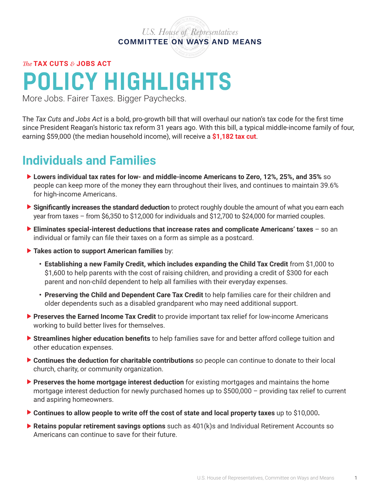## *U.S. House of Representatives* **COMMITTEE ON WAYS AND MEANS**

*The* **TAX CUTS** *&* **JOBS ACT**

## **POLICY HIGHLIGHTS**

More Jobs. Fairer Taxes. Bigger Paychecks.

The *Tax Cuts and Jobs Act* is a bold, pro-growth bill that will overhaul our nation's tax code for the first time since President Reagan's historic tax reform 31 years ago. With this bill, a typical middle-income family of four, earning \$59,000 (the median household income), will receive a **\$1,182 tax cut**.

## **Individuals and Families**

- **• Lowers individual tax rates for low- and middle-income Americans to Zero, 12%, 25%, and 35%** so people can keep more of the money they earn throughout their lives, and continues to maintain 39.6% for high-income Americans.
- **• Significantly increases the standard deduction** to protect roughly double the amount of what you earn each year from taxes – from \$6,350 to \$12,000 for individuals and \$12,700 to \$24,000 for married couples.
- **• Eliminates special-interest deductions that increase rates and complicate Americans' taxes** so an individual or family can file their taxes on a form as simple as a postcard.
- **• Takes action to support American families** by:
	- **• Establishing a new Family Credit, which includes expanding the Child Tax Credit** from \$1,000 to \$1,600 to help parents with the cost of raising children, and providing a credit of \$300 for each parent and non-child dependent to help all families with their everyday expenses.
	- **• Preserving the Child and Dependent Care Tax Credit** to help families care for their children and older dependents such as a disabled grandparent who may need additional support.
- **• Preserves the Earned Income Tax Credit** to provide important tax relief for low-income Americans working to build better lives for themselves.
- **• Streamlines higher education benefits** to help families save for and better afford college tuition and other education expenses.
- **• Continues the deduction for charitable contributions** so people can continue to donate to their local church, charity, or community organization.
- **• Preserves the home mortgage interest deduction** for existing mortgages and maintains the home mortgage interest deduction for newly purchased homes up to \$500,000 – providing tax relief to current and aspiring homeowners.
- **• Continues to allow people to write off the cost of state and local property taxes** up to \$10,000**.**
- **Retains popular retirement savings options** such as 401(k)s and Individual Retirement Accounts so Americans can continue to save for their future.